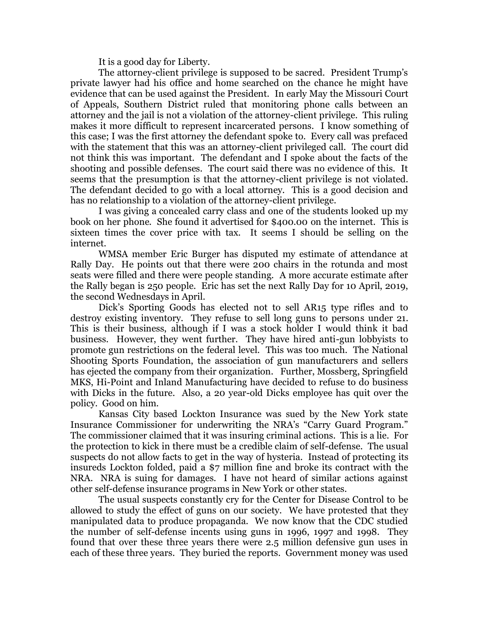It is a good day for Liberty.

The attorney-client privilege is supposed to be sacred. President Trump's private lawyer had his office and home searched on the chance he might have evidence that can be used against the President. In early May the Missouri Court of Appeals, Southern District ruled that monitoring phone calls between an attorney and the jail is not a violation of the attorney-client privilege. This ruling makes it more difficult to represent incarcerated persons. I know something of this case; I was the first attorney the defendant spoke to. Every call was prefaced with the statement that this was an attorney-client privileged call. The court did not think this was important. The defendant and I spoke about the facts of the shooting and possible defenses. The court said there was no evidence of this. It seems that the presumption is that the attorney-client privilege is not violated. The defendant decided to go with a local attorney. This is a good decision and has no relationship to a violation of the attorney-client privilege.

I was giving a concealed carry class and one of the students looked up my book on her phone. She found it advertised for \$400.00 on the internet. This is sixteen times the cover price with tax. It seems I should be selling on the internet.

WMSA member Eric Burger has disputed my estimate of attendance at Rally Day. He points out that there were 200 chairs in the rotunda and most seats were filled and there were people standing. A more accurate estimate after the Rally began is 250 people. Eric has set the next Rally Day for 10 April, 2019, the second Wednesdays in April.

Dick's Sporting Goods has elected not to sell AR15 type rifles and to destroy existing inventory. They refuse to sell long guns to persons under 21. This is their business, although if I was a stock holder I would think it bad business. However, they went further. They have hired anti-gun lobbyists to promote gun restrictions on the federal level. This was too much. The National Shooting Sports Foundation, the association of gun manufacturers and sellers has ejected the company from their organization. Further, Mossberg, Springfield MKS, Hi-Point and Inland Manufacturing have decided to refuse to do business with Dicks in the future. Also, a 20 year-old Dicks employee has quit over the policy. Good on him.

Kansas City based Lockton Insurance was sued by the New York state Insurance Commissioner for underwriting the NRA's "Carry Guard Program." The commissioner claimed that it was insuring criminal actions. This is a lie. For the protection to kick in there must be a credible claim of self-defense. The usual suspects do not allow facts to get in the way of hysteria. Instead of protecting its insureds Lockton folded, paid a \$7 million fine and broke its contract with the NRA. NRA is suing for damages. I have not heard of similar actions against other self-defense insurance programs in New York or other states.

The usual suspects constantly cry for the Center for Disease Control to be allowed to study the effect of guns on our society. We have protested that they manipulated data to produce propaganda. We now know that the CDC studied the number of self-defense incents using guns in 1996, 1997 and 1998. They found that over these three years there were 2.5 million defensive gun uses in each of these three years. They buried the reports. Government money was used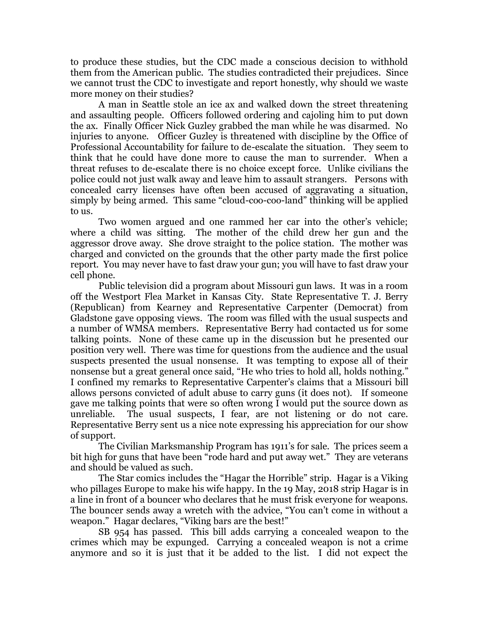to produce these studies, but the CDC made a conscious decision to withhold them from the American public. The studies contradicted their prejudices. Since we cannot trust the CDC to investigate and report honestly, why should we waste more money on their studies?

A man in Seattle stole an ice ax and walked down the street threatening and assaulting people. Officers followed ordering and cajoling him to put down the ax. Finally Officer Nick Guzley grabbed the man while he was disarmed. No injuries to anyone. Officer Guzley is threatened with discipline by the Office of Professional Accountability for failure to de-escalate the situation. They seem to think that he could have done more to cause the man to surrender. When a threat refuses to de-escalate there is no choice except force. Unlike civilians the police could not just walk away and leave him to assault strangers. Persons with concealed carry licenses have often been accused of aggravating a situation, simply by being armed. This same "cloud-coo-coo-land" thinking will be applied to us.

Two women argued and one rammed her car into the other's vehicle; where a child was sitting. The mother of the child drew her gun and the aggressor drove away. She drove straight to the police station. The mother was charged and convicted on the grounds that the other party made the first police report. You may never have to fast draw your gun; you will have to fast draw your cell phone.

Public television did a program about Missouri gun laws. It was in a room off the Westport Flea Market in Kansas City. State Representative T. J. Berry (Republican) from Kearney and Representative Carpenter (Democrat) from Gladstone gave opposing views. The room was filled with the usual suspects and a number of WMSA members. Representative Berry had contacted us for some talking points. None of these came up in the discussion but he presented our position very well. There was time for questions from the audience and the usual suspects presented the usual nonsense. It was tempting to expose all of their nonsense but a great general once said, "He who tries to hold all, holds nothing." I confined my remarks to Representative Carpenter's claims that a Missouri bill allows persons convicted of adult abuse to carry guns (it does not). If someone gave me talking points that were so often wrong I would put the source down as unreliable. The usual suspects, I fear, are not listening or do not care. Representative Berry sent us a nice note expressing his appreciation for our show of support.

The Civilian Marksmanship Program has 1911's for sale. The prices seem a bit high for guns that have been "rode hard and put away wet." They are veterans and should be valued as such.

The Star comics includes the "Hagar the Horrible" strip. Hagar is a Viking who pillages Europe to make his wife happy. In the 19 May, 2018 strip Hagar is in a line in front of a bouncer who declares that he must frisk everyone for weapons. The bouncer sends away a wretch with the advice, "You can't come in without a weapon." Hagar declares, "Viking bars are the best!"

SB 954 has passed. This bill adds carrying a concealed weapon to the crimes which may be expunged. Carrying a concealed weapon is not a crime anymore and so it is just that it be added to the list. I did not expect the